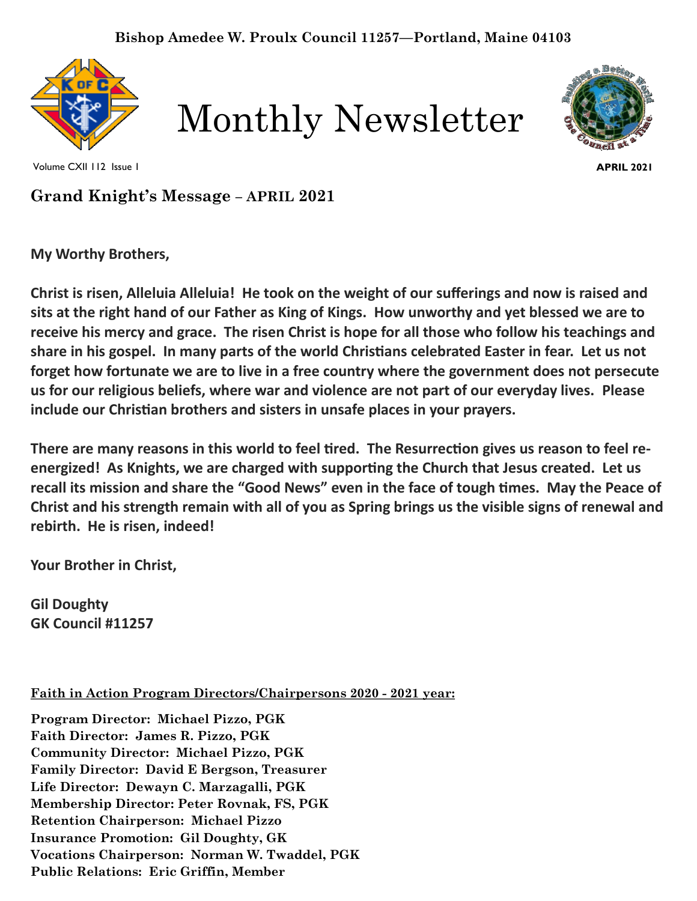





Volume CXII 112 Issue 1

**APRIL 2021**

**Grand Knight's Message – APRIL 2021** 

**My Worthy Brothers,**

**Christ is risen, Alleluia Alleluia! He took on the weight of our sufferings and now is raised and sits at the right hand of our Father as King of Kings. How unworthy and yet blessed we are to receive his mercy and grace. The risen Christ is hope for all those who follow his teachings and share in his gospel. In many parts of the world Christians celebrated Easter in fear. Let us not forget how fortunate we are to live in a free country where the government does not persecute us for our religious beliefs, where war and violence are not part of our everyday lives. Please include our Christian brothers and sisters in unsafe places in your prayers.**

**There are many reasons in this world to feel tired. The Resurrection gives us reason to feel reenergized! As Knights, we are charged with supporting the Church that Jesus created. Let us recall its mission and share the "Good News" even in the face of tough times. May the Peace of Christ and his strength remain with all of you as Spring brings us the visible signs of renewal and rebirth. He is risen, indeed!**

**Your Brother in Christ,**

**Gil Doughty GK Council #11257**

**Faith in Action Program Directors/Chairpersons 2020 - 2021 year:**

**Program Director: Michael Pizzo, PGK Faith Director: James R. Pizzo, PGK Community Director: Michael Pizzo, PGK Family Director: David E Bergson, Treasurer Life Director: Dewayn C. Marzagalli, PGK Membership Director: Peter Rovnak, FS, PGK Retention Chairperson: Michael Pizzo Insurance Promotion: Gil Doughty, GK Vocations Chairperson: Norman W. Twaddel, PGK Public Relations: Eric Griffin, Member**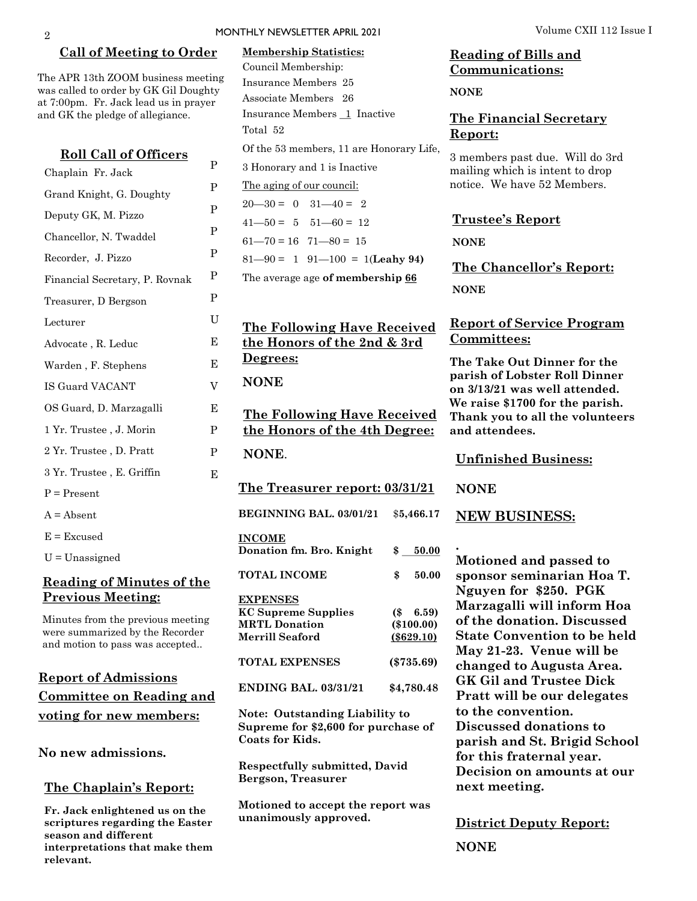#### **Call of Meeting to Order**

P P P P P P P U E E V

E P

P E

**INCOME**

**NONE**.

**Degrees:**

**NONE** 

**EXPENSES**

**Coats for Kids.**

**Bergson, Treasurer**

**unanimously approved.**

The APR 13th ZOOM business meeting was called to order by GK Gil Doughty at 7:00pm. Fr. Jack lead us in prayer and GK the pledge of allegiance.

| <b>Roll Call of Officers</b>   |  |  |  |  |
|--------------------------------|--|--|--|--|
| Chaplain Fr. Jack              |  |  |  |  |
| Grand Knight, G. Doughty       |  |  |  |  |
| Deputy GK, M. Pizzo            |  |  |  |  |
| Chancellor, N. Twaddel         |  |  |  |  |
| Recorder, J. Pizzo             |  |  |  |  |
| Financial Secretary, P. Rovnak |  |  |  |  |
| Treasurer, D Bergson           |  |  |  |  |
| Lecturer                       |  |  |  |  |
| Advocate, R. Leduc             |  |  |  |  |
| Warden, F. Stephens            |  |  |  |  |
| <b>IS Guard VACANT</b>         |  |  |  |  |
| OS Guard, D. Marzagalli        |  |  |  |  |
| 1 Yr. Trustee , J. Morin       |  |  |  |  |
| 2 Yr. Trustee, D. Pratt        |  |  |  |  |
| 3 Yr. Trustee, E. Griffin      |  |  |  |  |
| $P = Present$                  |  |  |  |  |
| $A = Absent$                   |  |  |  |  |
| $E = Excused$                  |  |  |  |  |
| $U =$ Unassigned               |  |  |  |  |
|                                |  |  |  |  |

## **Reading of Minutes of the Previous Meeting:**

Minutes from the previous meeting were summarized by the Recorder and motion to pass was accepted..

# **Report of Admissions Committee on Reading and voting for new members:**

**No new admissions.** 

#### **The Chaplain's Report:**

**Fr. Jack enlightened us on the scriptures regarding the Easter season and different interpretations that make them relevant.**

Insurance Members 1 Inactive

3 Honorary and 1 is Inactive The aging of our council:  $20 - 30 = 0$   $31 - 40 = 2$  $41 - 50 = 5$   $51 - 60 = 12$  $61 - 70 = 16$   $71 - 80 = 15$ 

Of the 53 members, 11 are Honorary Life,

Council Membership: Insurance Members 25 Associate Members 26

Total 52

**The Treasurer report: 03/31/21**

**The Following Have Received the Honors of the 4th Degree:** 

**The Following Have Received the Honors of the 2nd & 3rd** 

81—90 = 1 91—100 = 1(**Leahy 94)** The average age **of membership 66**

**BEGINNING BAL. 03/01/21** \$**5,466.17**

**Donation fm. Bro. Knight \$ 50.00**

**TOTAL INCOME \$ 50.00**

**KC Supreme Supplies (\$ 6.59) MRTL Donation (\$100.00) Merrill Seaford (\$629.10)**

**TOTAL EXPENSES (\$735.69)** 

**ENDING BAL. 03/31/21 \$4,780.48**

**Note: Outstanding Liability to Supreme for \$2,600 for purchase of** 

**Respectfully submitted, David** 

**Motioned to accept the report was** 

## **Reading of Bills and Communications:**

**NONE** 

## **The Financial Secretary Report:**

3 members past due. Will do 3rd mailing which is intent to drop notice. We have 52 Members.

**Trustee's Report** 

**NONE**

**The Chancellor's Report: NONE**

### **Report of Service Program Committees:**

**The Take Out Dinner for the parish of Lobster Roll Dinner on 3/13/21 was well attended. We raise \$1700 for the parish. Thank you to all the volunteers and attendees.** 

#### **Unfinished Business:**

**NONE** 

**.**

#### **NEW BUSINESS:**

**Motioned and passed to sponsor seminarian Hoa T. Nguyen for \$250. PGK Marzagalli will inform Hoa of the donation. Discussed State Convention to be held May 21-23. Venue will be changed to Augusta Area. GK Gil and Trustee Dick Pratt will be our delegates to the convention. Discussed donations to parish and St. Brigid School for this fraternal year. Decision on amounts at our next meeting.**

**District Deputy Report:** 

**NONE**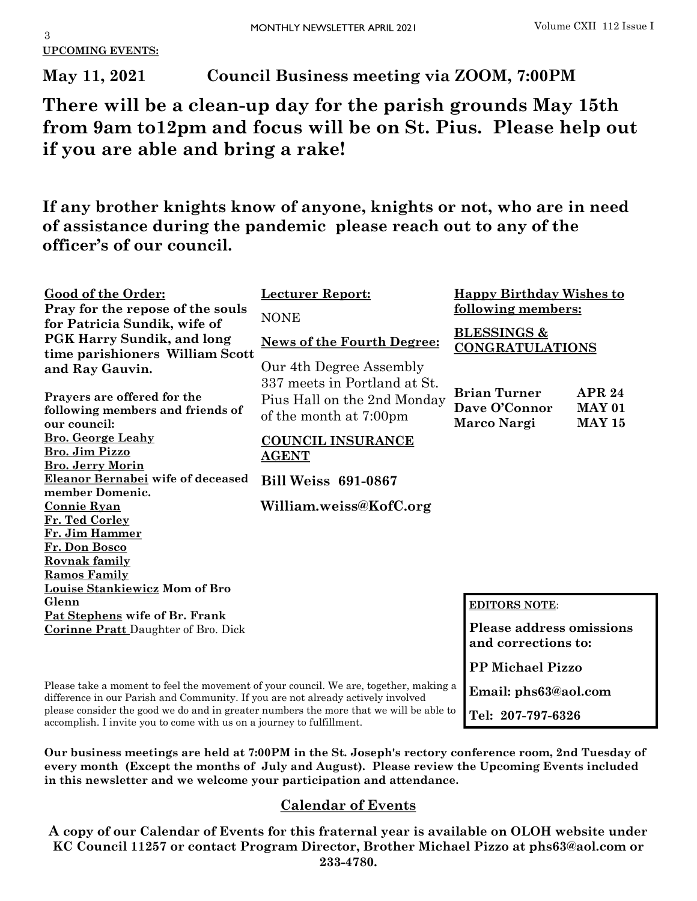**UPCOMING EVENTS:**

**May 11, 2021 Council Business meeting via ZOOM, 7:00PM**

**There will be a clean-up day for the parish grounds May 15th from 9am to12pm and focus will be on St. Pius. Please help out if you are able and bring a rake!**

**If any brother knights know of anyone, knights or not, who are in need of assistance during the pandemic please reach out to any of the officer's of our council.**

| Good of the Order:                                                           | <b>Lecturer Report:</b>           | <b>Happy Birthday Wishes to</b>                  |               |
|------------------------------------------------------------------------------|-----------------------------------|--------------------------------------------------|---------------|
| Pray for the repose of the souls                                             | <b>NONE</b>                       | <u>following members:</u>                        |               |
| for Patricia Sundik, wife of                                                 |                                   |                                                  |               |
| <b>PGK Harry Sundik, and long</b>                                            | <b>News of the Fourth Degree:</b> | <b>BLESSINGS &amp;</b><br><b>CONGRATULATIONS</b> |               |
| time parishioners William Scott                                              |                                   |                                                  |               |
| and Ray Gauvin.                                                              | Our 4th Degree Assembly           |                                                  |               |
|                                                                              | 337 meets in Portland at St.      | <b>Brian Turner</b>                              | <b>APR 24</b> |
| Prayers are offered for the                                                  | Pius Hall on the 2nd Monday       |                                                  |               |
| following members and friends of                                             | of the month at 7:00pm            | Dave O'Connor                                    | <b>MAY 01</b> |
| our council:                                                                 |                                   | Marco Nargi                                      | <b>MAY 15</b> |
| <b>Bro. George Leahy</b><br>Bro. Jim Pizzo                                   | <b>COUNCIL INSURANCE</b>          |                                                  |               |
| <b>Bro. Jerry Morin</b>                                                      | <b>AGENT</b>                      |                                                  |               |
| Eleanor Bernabei wife of deceased                                            | <b>Bill Weiss 691-0867</b>        |                                                  |               |
| member Domenic.                                                              |                                   |                                                  |               |
| <b>Connie Ryan</b>                                                           | William.weiss@KofC.org            |                                                  |               |
| Fr. Ted Corley                                                               |                                   |                                                  |               |
| Fr. Jim Hammer                                                               |                                   |                                                  |               |
| Fr. Don Bosco                                                                |                                   |                                                  |               |
| Rovnak family                                                                |                                   |                                                  |               |
| <b>Ramos Family</b>                                                          |                                   |                                                  |               |
| Louise Stankiewicz Mom of Bro                                                |                                   |                                                  |               |
| Glenn                                                                        |                                   | <b>EDITORS NOTE:</b>                             |               |
| Pat Stephens wife of Br. Frank<br><b>Corinne Pratt</b> Daughter of Bro. Dick |                                   | <b>Please address omissions</b>                  |               |
|                                                                              |                                   | and corrections to:                              |               |
|                                                                              |                                   |                                                  |               |
|                                                                              |                                   | <b>PP Michael Pizzo</b>                          |               |

**Email: phs63@aol.com**

**Tel: 207-797-6326**

Please take a moment to feel the movement of your council. We are, together, making a difference in our Parish and Community. If you are not already actively involved please consider the good we do and in greater numbers the more that we will be able to accomplish. I invite you to come with us on a journey to fulfillment.

**Our business meetings are held at 7:00PM in the St. Joseph's rectory conference room, 2nd Tuesday of every month (Except the months of July and August). Please review the Upcoming Events included in this newsletter and we welcome your participation and attendance.** 

# **Calendar of Events**

**A copy of our Calendar of Events for this fraternal year is available on OLOH website under KC Council 11257 or contact Program Director, Brother Michael Pizzo at phs63@aol.com or 233-4780.**